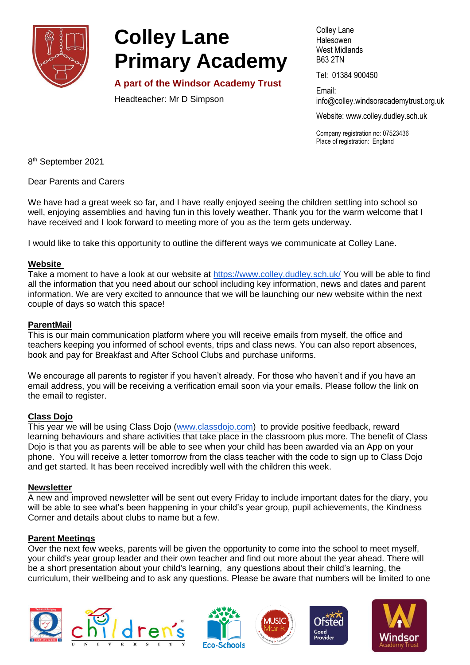

# **Colley Lane Primary Academy**

**A part of the Windsor Academy Trust**

Headteacher: Mr D Simpson

Colley Lane **Halesowen** West Midlands B63 2TN

Tel: 01384 900450

Email: info@colley[.windsoracademytrust.org.uk](http://www.windsoracademytrust.org.uk/)

Website: www.colley.dudley.sch.uk

Company registration no: 07523436 Place of registration: England

8<sup>th</sup> September 2021

Dear Parents and Carers

We have had a great week so far, and I have really enjoyed seeing the children settling into school so well, enjoying assemblies and having fun in this lovely weather. Thank you for the warm welcome that I have received and I look forward to meeting more of you as the term gets underway.

I would like to take this opportunity to outline the different ways we communicate at Colley Lane.

### **Website**

Take a moment to have a look at our website at <https://www.colley.dudley.sch.uk/> You will be able to find all the information that you need about our school including key information, news and dates and parent information. We are very excited to announce that we will be launching our new website within the next couple of days so watch this space!

## **ParentMail**

This is our main communication platform where you will receive emails from myself, the office and teachers keeping you informed of school events, trips and class news. You can also report absences, book and pay for Breakfast and After School Clubs and purchase uniforms.

We encourage all parents to register if you haven't already. For those who haven't and if you have an email address, you will be receiving a verification email soon via your emails. Please follow the link on the email to register.

## **Class Dojo**

This year we will be using Class Dojo [\(www.classdojo.com\)](http://www.classdojo.com/) to provide positive feedback, reward learning behaviours and share activities that take place in the classroom plus more. The benefit of Class Dojo is that you as parents will be able to see when your child has been awarded via an App on your phone. You will receive a letter tomorrow from the class teacher with the code to sign up to Class Dojo and get started. It has been received incredibly well with the children this week.

#### **Newsletter**

A new and improved newsletter will be sent out every Friday to include important dates for the diary, you will be able to see what's been happening in your child's year group, pupil achievements, the Kindness Corner and details about clubs to name but a few.

## **Parent Meetings**

Over the next few weeks, parents will be given the opportunity to come into the school to meet myself, your child's year group leader and their own teacher and find out more about the year ahead. There will be a short presentation about your child's learning, any questions about their child's learning, the curriculum, their wellbeing and to ask any questions. Please be aware that numbers will be limited to one